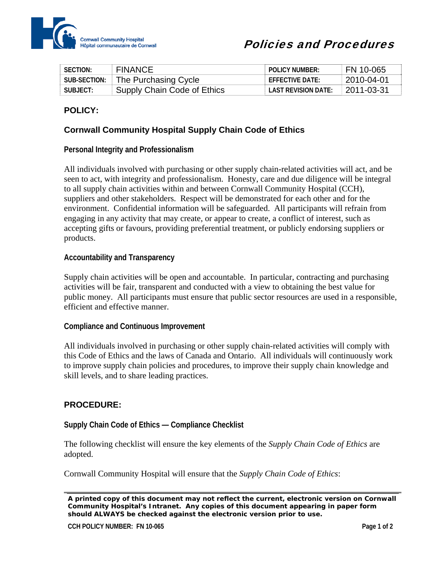

| SECTION:     | <b>FINANCE</b>              | <b>POLICY NUMBER:</b>      | FN 10-065  |
|--------------|-----------------------------|----------------------------|------------|
| SUB-SECTION: | The Purchasing Cycle        | $F$ FFF $C$ TIVF DATF:     | 2010-04-01 |
| SUBIFCT:     | Supply Chain Code of Ethics | <b>LAST REVISION DATE:</b> | 2011-03-31 |

# **POLICY:**

## **Cornwall Community Hospital Supply Chain Code of Ethics**

## **Personal Integrity and Professionalism**

All individuals involved with purchasing or other supply chain-related activities will act, and be seen to act, with integrity and professionalism. Honesty, care and due diligence will be integral to all supply chain activities within and between Cornwall Community Hospital (CCH), suppliers and other stakeholders. Respect will be demonstrated for each other and for the environment. Confidential information will be safeguarded. All participants will refrain from engaging in any activity that may create, or appear to create, a conflict of interest, such as accepting gifts or favours, providing preferential treatment, or publicly endorsing suppliers or products.

#### **Accountability and Transparency**

Supply chain activities will be open and accountable. In particular, contracting and purchasing activities will be fair, transparent and conducted with a view to obtaining the best value for public money. All participants must ensure that public sector resources are used in a responsible, efficient and effective manner.

#### **Compliance and Continuous Improvement**

All individuals involved in purchasing or other supply chain-related activities will comply with this Code of Ethics and the laws of Canada and Ontario. All individuals will continuously work to improve supply chain policies and procedures, to improve their supply chain knowledge and skill levels, and to share leading practices.

## **PROCEDURE:**

## **Supply Chain Code of Ethics — Compliance Checklist**

The following checklist will ensure the key elements of the *Supply Chain Code of Ethics* are adopted.

Cornwall Community Hospital will ensure that the *Supply Chain Code of Ethics*:

*A printed copy of this document may not reflect the current, electronic version on Cornwall Community Hospital's Intranet. Any copies of this document appearing in paper form should ALWAYS be checked against the electronic version prior to use.*